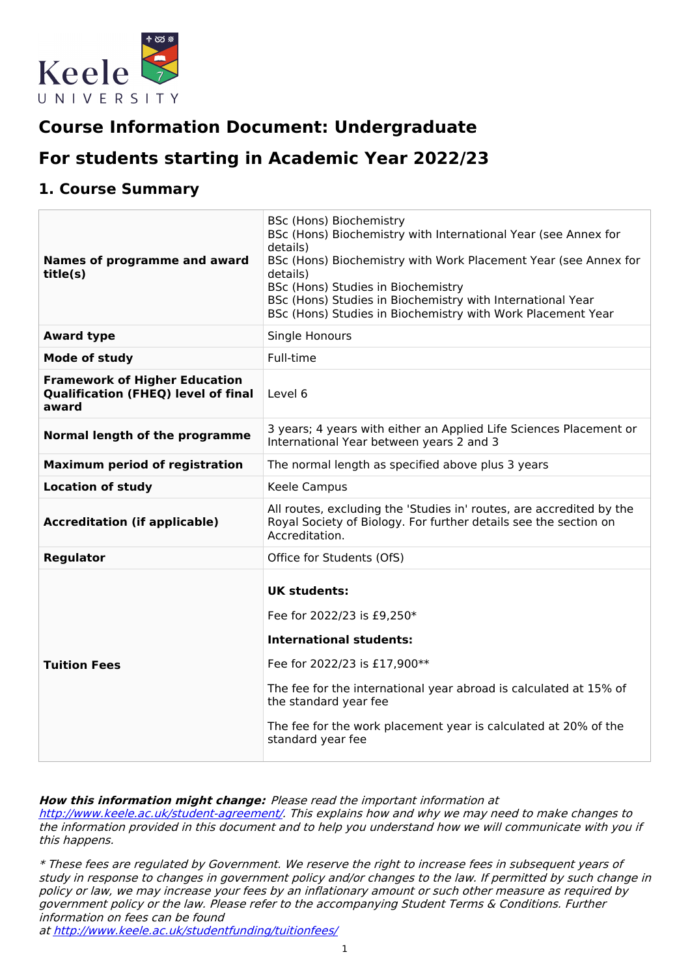

# **Course Information Document: Undergraduate**

# **For students starting in Academic Year 2022/23**

## **1. Course Summary**

| Names of programme and award<br>title(s)                                                    | BSc (Hons) Biochemistry<br>BSc (Hons) Biochemistry with International Year (see Annex for<br>details)<br>BSc (Hons) Biochemistry with Work Placement Year (see Annex for<br>details)<br>BSc (Hons) Studies in Biochemistry<br>BSc (Hons) Studies in Biochemistry with International Year<br>BSc (Hons) Studies in Biochemistry with Work Placement Year |
|---------------------------------------------------------------------------------------------|---------------------------------------------------------------------------------------------------------------------------------------------------------------------------------------------------------------------------------------------------------------------------------------------------------------------------------------------------------|
| <b>Award type</b>                                                                           | Single Honours                                                                                                                                                                                                                                                                                                                                          |
| Mode of study                                                                               | Full-time                                                                                                                                                                                                                                                                                                                                               |
| <b>Framework of Higher Education</b><br><b>Qualification (FHEQ) level of final</b><br>award | Level 6                                                                                                                                                                                                                                                                                                                                                 |
| Normal length of the programme                                                              | 3 years; 4 years with either an Applied Life Sciences Placement or<br>International Year between years 2 and 3                                                                                                                                                                                                                                          |
| <b>Maximum period of registration</b>                                                       | The normal length as specified above plus 3 years                                                                                                                                                                                                                                                                                                       |
| <b>Location of study</b>                                                                    | Keele Campus                                                                                                                                                                                                                                                                                                                                            |
| <b>Accreditation (if applicable)</b>                                                        | All routes, excluding the 'Studies in' routes, are accredited by the<br>Royal Society of Biology. For further details see the section on<br>Accreditation.                                                                                                                                                                                              |
| <b>Regulator</b>                                                                            | Office for Students (OfS)                                                                                                                                                                                                                                                                                                                               |
| <b>Tuition Fees</b>                                                                         | <b>UK students:</b><br>Fee for 2022/23 is £9,250*<br><b>International students:</b><br>Fee for 2022/23 is £17,900**<br>The fee for the international year abroad is calculated at 15% of<br>the standard year fee<br>The fee for the work placement year is calculated at 20% of the<br>standard year fee                                               |

**How this information might change:** Please read the important information at

<http://www.keele.ac.uk/student-agreement/>. This explains how and why we may need to make changes to the information provided in this document and to help you understand how we will communicate with you if this happens.

\* These fees are regulated by Government. We reserve the right to increase fees in subsequent years of study in response to changes in government policy and/or changes to the law. If permitted by such change in policy or law, we may increase your fees by an inflationary amount or such other measure as required by government policy or the law. Please refer to the accompanying Student Terms & Conditions. Further information on fees can be found

at <http://www.keele.ac.uk/studentfunding/tuitionfees/>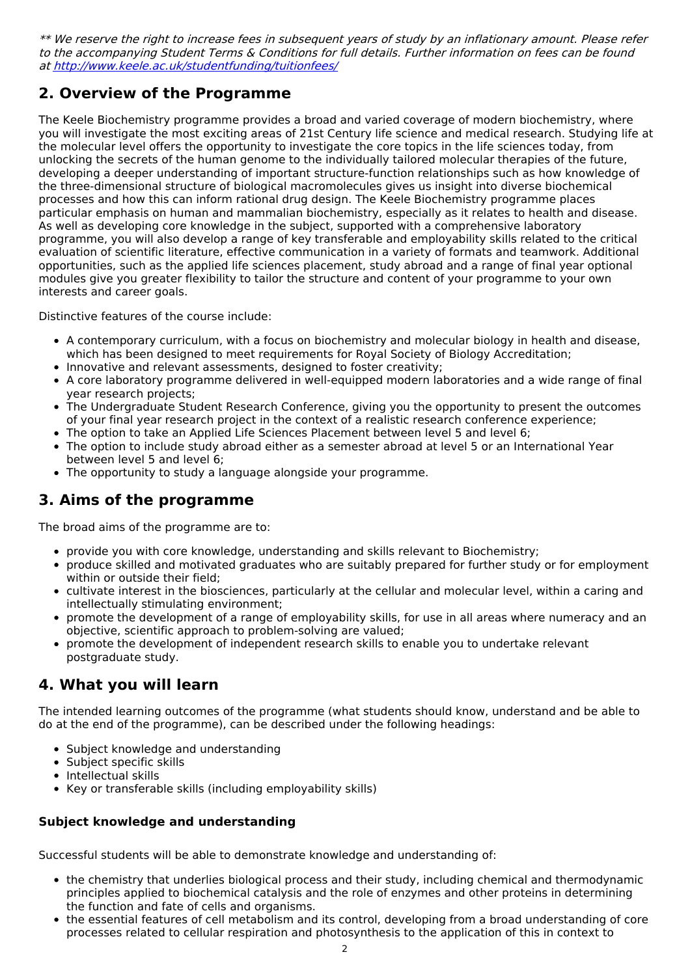\*\* We reserve the right to increase fees in subsequent years of study by an inflationary amount. Please refer to the accompanying Student Terms & Conditions for full details. Further information on fees can be found at <http://www.keele.ac.uk/studentfunding/tuitionfees/>

# **2. Overview of the Programme**

The Keele Biochemistry programme provides a broad and varied coverage of modern biochemistry, where you will investigate the most exciting areas of 21st Century life science and medical research. Studying life at the molecular level offers the opportunity to investigate the core topics in the life sciences today, from unlocking the secrets of the human genome to the individually tailored molecular therapies of the future, developing a deeper understanding of important structure-function relationships such as how knowledge of the three-dimensional structure of biological macromolecules gives us insight into diverse biochemical processes and how this can inform rational drug design. The Keele Biochemistry programme places particular emphasis on human and mammalian biochemistry, especially as it relates to health and disease. As well as developing core knowledge in the subject, supported with a comprehensive laboratory programme, you will also develop a range of key transferable and employability skills related to the critical evaluation of scientific literature, effective communication in a variety of formats and teamwork. Additional opportunities, such as the applied life sciences placement, study abroad and a range of final year optional modules give you greater flexibility to tailor the structure and content of your programme to your own interests and career goals.

Distinctive features of the course include:

- A contemporary curriculum, with a focus on biochemistry and molecular biology in health and disease, which has been designed to meet requirements for Royal Society of Biology Accreditation;
- Innovative and relevant assessments, designed to foster creativity;
- A core laboratory programme delivered in well-equipped modern laboratories and a wide range of final year research projects;
- The Undergraduate Student Research Conference, giving you the opportunity to present the outcomes of your final year research project in the context of a realistic research conference experience;
- The option to take an Applied Life Sciences Placement between level 5 and level 6;
- The option to include study abroad either as a semester abroad at level 5 or an International Year between level 5 and level 6;
- The opportunity to study a language alongside your programme.

# **3. Aims of the programme**

The broad aims of the programme are to:

- provide you with core knowledge, understanding and skills relevant to Biochemistry;
- produce skilled and motivated graduates who are suitably prepared for further study or for employment within or outside their field;
- cultivate interest in the biosciences, particularly at the cellular and molecular level, within a caring and intellectually stimulating environment;
- promote the development of a range of employability skills, for use in all areas where numeracy and an objective, scientific approach to problem-solving are valued;
- promote the development of independent research skills to enable you to undertake relevant postgraduate study.

# **4. What you will learn**

The intended learning outcomes of the programme (what students should know, understand and be able to do at the end of the programme), can be described under the following headings:

- Subject knowledge and understanding
- Subject specific skills
- Intellectual skills
- Key or transferable skills (including employability skills)

### **Subject knowledge and understanding**

Successful students will be able to demonstrate knowledge and understanding of:

- the chemistry that underlies biological process and their study, including chemical and thermodynamic principles applied to biochemical catalysis and the role of enzymes and other proteins in determining the function and fate of cells and organisms.
- the essential features of cell metabolism and its control, developing from a broad understanding of core processes related to cellular respiration and photosynthesis to the application of this in context to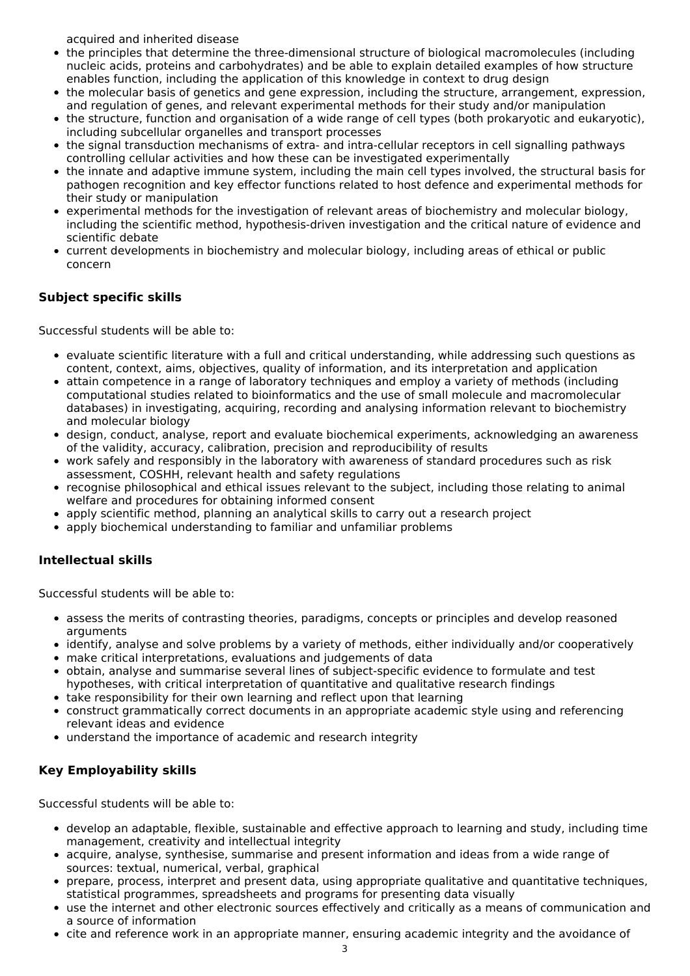acquired and inherited disease

- the principles that determine the three-dimensional structure of biological macromolecules (including nucleic acids, proteins and carbohydrates) and be able to explain detailed examples of how structure enables function, including the application of this knowledge in context to drug design
- the molecular basis of genetics and gene expression, including the structure, arrangement, expression, and regulation of genes, and relevant experimental methods for their study and/or manipulation
- the structure, function and organisation of a wide range of cell types (both prokaryotic and eukaryotic), including subcellular organelles and transport processes
- the signal transduction mechanisms of extra- and intra-cellular receptors in cell signalling pathways controlling cellular activities and how these can be investigated experimentally
- the innate and adaptive immune system, including the main cell types involved, the structural basis for pathogen recognition and key effector functions related to host defence and experimental methods for their study or manipulation
- experimental methods for the investigation of relevant areas of biochemistry and molecular biology, including the scientific method, hypothesis-driven investigation and the critical nature of evidence and scientific debate
- current developments in biochemistry and molecular biology, including areas of ethical or public concern

### **Subject specific skills**

Successful students will be able to:

- evaluate scientific literature with a full and critical understanding, while addressing such questions as content, context, aims, objectives, quality of information, and its interpretation and application
- attain competence in a range of laboratory techniques and employ a variety of methods (including computational studies related to bioinformatics and the use of small molecule and macromolecular databases) in investigating, acquiring, recording and analysing information relevant to biochemistry and molecular biology
- design, conduct, analyse, report and evaluate biochemical experiments, acknowledging an awareness of the validity, accuracy, calibration, precision and reproducibility of results
- work safely and responsibly in the laboratory with awareness of standard procedures such as risk assessment, COSHH, relevant health and safety regulations
- recognise philosophical and ethical issues relevant to the subject, including those relating to animal welfare and procedures for obtaining informed consent
- apply scientific method, planning an analytical skills to carry out a research project
- apply biochemical understanding to familiar and unfamiliar problems

### **Intellectual skills**

Successful students will be able to:

- assess the merits of contrasting theories, paradigms, concepts or principles and develop reasoned arguments
- identify, analyse and solve problems by a variety of methods, either individually and/or cooperatively
- make critical interpretations, evaluations and judgements of data
- obtain, analyse and summarise several lines of subject-specific evidence to formulate and test hypotheses, with critical interpretation of quantitative and qualitative research findings
- take responsibility for their own learning and reflect upon that learning
- construct grammatically correct documents in an appropriate academic style using and referencing relevant ideas and evidence
- understand the importance of academic and research integrity

### **Key Employability skills**

Successful students will be able to:

- develop an adaptable, flexible, sustainable and effective approach to learning and study, including time management, creativity and intellectual integrity
- acquire, analyse, synthesise, summarise and present information and ideas from a wide range of sources: textual, numerical, verbal, graphical
- prepare, process, interpret and present data, using appropriate qualitative and quantitative techniques, statistical programmes, spreadsheets and programs for presenting data visually
- use the internet and other electronic sources effectively and critically as a means of communication and a source of information
- cite and reference work in an appropriate manner, ensuring academic integrity and the avoidance of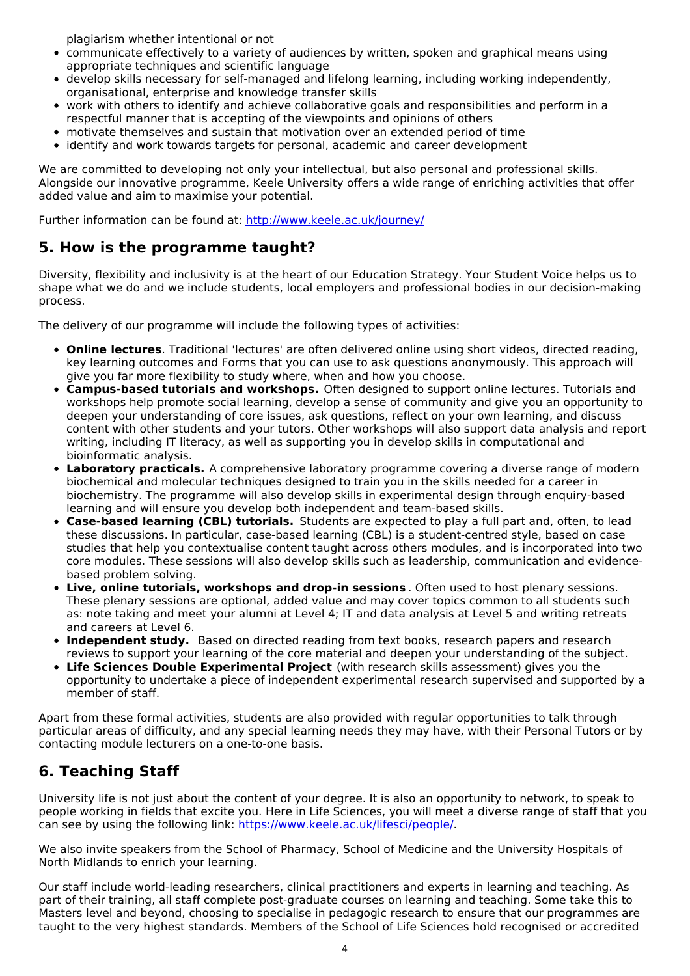plagiarism whether intentional or not

- communicate effectively to a variety of audiences by written, spoken and graphical means using appropriate techniques and scientific language
- develop skills necessary for self-managed and lifelong learning, including working independently, organisational, enterprise and knowledge transfer skills
- work with others to identify and achieve collaborative goals and responsibilities and perform in a respectful manner that is accepting of the viewpoints and opinions of others
- motivate themselves and sustain that motivation over an extended period of time
- identify and work towards targets for personal, academic and career development

We are committed to developing not only your intellectual, but also personal and professional skills. Alongside our innovative programme, Keele University offers a wide range of enriching activities that offer added value and aim to maximise your potential.

Further information can be found at: <http://www.keele.ac.uk/journey/>

## **5. How is the programme taught?**

Diversity, flexibility and inclusivity is at the heart of our Education Strategy. Your Student Voice helps us to shape what we do and we include students, local employers and professional bodies in our decision-making process.

The delivery of our programme will include the following types of activities:

- **Online lectures**. Traditional 'lectures' are often delivered online using short videos, directed reading, key learning outcomes and Forms that you can use to ask questions anonymously. This approach will give you far more flexibility to study where, when and how you choose.
- **Campus-based tutorials and workshops.** Often designed to support online lectures. Tutorials and workshops help promote social learning, develop a sense of community and give you an opportunity to deepen your understanding of core issues, ask questions, reflect on your own learning, and discuss content with other students and your tutors. Other workshops will also support data analysis and report writing, including IT literacy, as well as supporting you in develop skills in computational and bioinformatic analysis.
- **Laboratory practicals.** A comprehensive laboratory programme covering a diverse range of modern biochemical and molecular techniques designed to train you in the skills needed for a career in biochemistry. The programme will also develop skills in experimental design through enquiry-based learning and will ensure you develop both independent and team-based skills.
- **Case-based learning (CBL) tutorials.** Students are expected to play a full part and, often, to lead these discussions. In particular, case-based learning (CBL) is a student-centred style, based on case studies that help you contextualise content taught across others modules, and is incorporated into two core modules. These sessions will also develop skills such as leadership, communication and evidencebased problem solving.
- **Live, online tutorials, workshops and drop-in sessions** . Often used to host plenary sessions. These plenary sessions are optional, added value and may cover topics common to all students such as: note taking and meet your alumni at Level 4; IT and data analysis at Level 5 and writing retreats and careers at Level 6.
- **Independent study.** Based on directed reading from text books, research papers and research reviews to support your learning of the core material and deepen your understanding of the subject.
- **Life Sciences Double Experimental Project** (with research skills assessment) gives you the opportunity to undertake a piece of independent experimental research supervised and supported by a member of staff.

Apart from these formal activities, students are also provided with regular opportunities to talk through particular areas of difficulty, and any special learning needs they may have, with their Personal Tutors or by contacting module lecturers on a one-to-one basis.

# **6. Teaching Staff**

University life is not just about the content of your degree. It is also an opportunity to network, to speak to people working in fields that excite you. Here in Life Sciences, you will meet a diverse range of staff that you can see by using the following link: <https://www.keele.ac.uk/lifesci/people/>.

We also invite speakers from the School of Pharmacy, School of Medicine and the University Hospitals of North Midlands to enrich your learning.

Our staff include world-leading researchers, clinical practitioners and experts in learning and teaching. As part of their training, all staff complete post-graduate courses on learning and teaching. Some take this to Masters level and beyond, choosing to specialise in pedagogic research to ensure that our programmes are taught to the very highest standards. Members of the School of Life Sciences hold recognised or accredited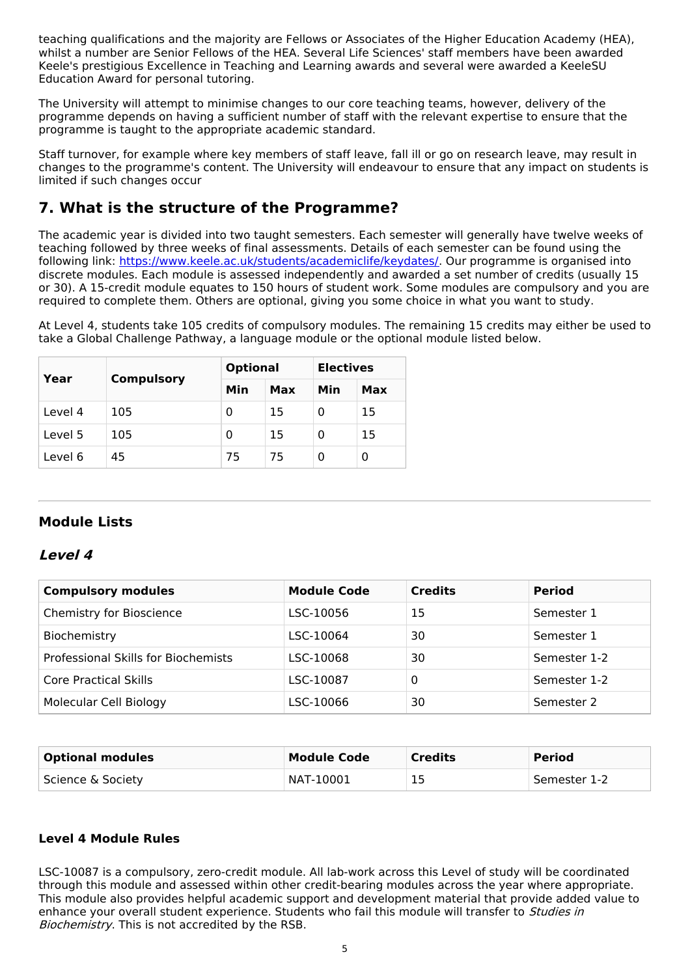teaching qualifications and the majority are Fellows or Associates of the Higher Education Academy (HEA), whilst a number are Senior Fellows of the HEA. Several Life Sciences' staff members have been awarded Keele's prestigious Excellence in Teaching and Learning awards and several were awarded a KeeleSU Education Award for personal tutoring.

The University will attempt to minimise changes to our core teaching teams, however, delivery of the programme depends on having a sufficient number of staff with the relevant expertise to ensure that the programme is taught to the appropriate academic standard.

Staff turnover, for example where key members of staff leave, fall ill or go on research leave, may result in changes to the programme's content. The University will endeavour to ensure that any impact on students is limited if such changes occur

# **7. What is the structure of the Programme?**

The academic year is divided into two taught semesters. Each semester will generally have twelve weeks of teaching followed by three weeks of final assessments. Details of each semester can be found using the following link: <https://www.keele.ac.uk/students/academiclife/keydates/>. Our programme is organised into discrete modules. Each module is assessed independently and awarded a set number of credits (usually 15 or 30). A 15-credit module equates to 150 hours of student work. Some modules are compulsory and you are required to complete them. Others are optional, giving you some choice in what you want to study.

At Level 4, students take 105 credits of compulsory modules. The remaining 15 credits may either be used to take a Global Challenge Pathway, a language module or the optional module listed below.

| Year    | <b>Compulsory</b> | <b>Optional</b> |     | <b>Electives</b> |     |
|---------|-------------------|-----------------|-----|------------------|-----|
|         |                   | Min             | Max | Min              | Max |
| Level 4 | 105               | 0               | 15  | Ω                | 15  |
| Level 5 | 105               | 0               | 15  | 0                | 15  |
| Level 6 | 45                | 75              | 75  | Ω                | 0   |

### **Module Lists**

#### **Level 4**

| <b>Compulsory modules</b>           | <b>Module Code</b> | <b>Credits</b> | <b>Period</b> |
|-------------------------------------|--------------------|----------------|---------------|
| Chemistry for Bioscience            | LSC-10056          | 15             | Semester 1    |
| Biochemistry                        | LSC-10064          | 30             | Semester 1    |
| Professional Skills for Biochemists | LSC-10068          | 30             | Semester 1-2  |
| Core Practical Skills               | LSC-10087          | 0              | Semester 1-2  |
| Molecular Cell Biology              | LSC-10066          | 30             | Semester 2    |

| <b>Optional modules</b> | Module Code | <b>Credits</b> | <b>Period</b> |
|-------------------------|-------------|----------------|---------------|
| Science & Society       | NAT-10001   | 15             | Semester 1-2  |

#### **Level 4 Module Rules**

LSC-10087 is a compulsory, zero-credit module. All lab-work across this Level of study will be coordinated through this module and assessed within other credit-bearing modules across the year where appropriate. This module also provides helpful academic support and development material that provide added value to enhance your overall student experience. Students who fail this module will transfer to *Studies in* Biochemistry. This is not accredited by the RSB.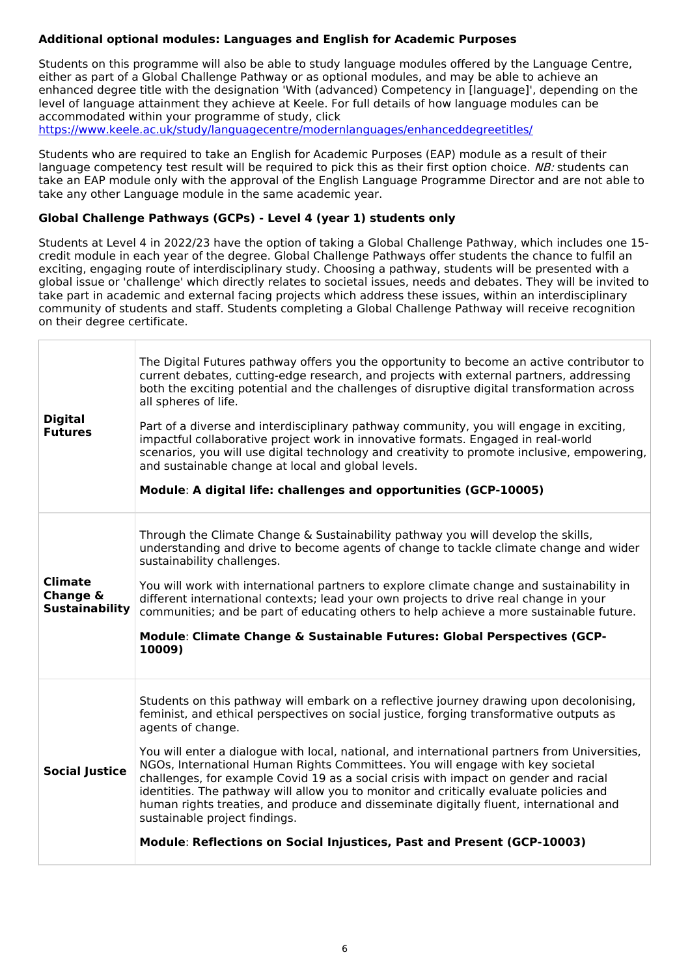### **Additional optional modules: Languages and English for Academic Purposes**

Students on this programme will also be able to study language modules offered by the Language Centre, either as part of a Global Challenge Pathway or as optional modules, and may be able to achieve an enhanced degree title with the designation 'With (advanced) Competency in [language]', depending on the level of language attainment they achieve at Keele. For full details of how language modules can be accommodated within your programme of study, click <https://www.keele.ac.uk/study/languagecentre/modernlanguages/enhanceddegreetitles/>

Students who are required to take an English for Academic Purposes (EAP) module as a result of their language competency test result will be required to pick this as their first option choice. NB: students can take an EAP module only with the approval of the English Language Programme Director and are not able to take any other Language module in the same academic year.

#### **Global Challenge Pathways (GCPs) - Level 4 (year 1) students only**

Students at Level 4 in 2022/23 have the option of taking a Global Challenge Pathway, which includes one 15 credit module in each year of the degree. Global Challenge Pathways offer students the chance to fulfil an exciting, engaging route of interdisciplinary study. Choosing a pathway, students will be presented with a global issue or 'challenge' which directly relates to societal issues, needs and debates. They will be invited to take part in academic and external facing projects which address these issues, within an interdisciplinary community of students and staff. Students completing a Global Challenge Pathway will receive recognition on their degree certificate.

| <b>Digital</b><br><b>Futures</b>                    | The Digital Futures pathway offers you the opportunity to become an active contributor to<br>current debates, cutting-edge research, and projects with external partners, addressing<br>both the exciting potential and the challenges of disruptive digital transformation across<br>all spheres of life.<br>Part of a diverse and interdisciplinary pathway community, you will engage in exciting,<br>impactful collaborative project work in innovative formats. Engaged in real-world<br>scenarios, you will use digital technology and creativity to promote inclusive, empowering,<br>and sustainable change at local and global levels.<br>Module: A digital life: challenges and opportunities (GCP-10005)                                                               |
|-----------------------------------------------------|-----------------------------------------------------------------------------------------------------------------------------------------------------------------------------------------------------------------------------------------------------------------------------------------------------------------------------------------------------------------------------------------------------------------------------------------------------------------------------------------------------------------------------------------------------------------------------------------------------------------------------------------------------------------------------------------------------------------------------------------------------------------------------------|
| <b>Climate</b><br>Change &<br><b>Sustainability</b> | Through the Climate Change & Sustainability pathway you will develop the skills,<br>understanding and drive to become agents of change to tackle climate change and wider<br>sustainability challenges.<br>You will work with international partners to explore climate change and sustainability in<br>different international contexts; lead your own projects to drive real change in your<br>communities; and be part of educating others to help achieve a more sustainable future.<br>Module: Climate Change & Sustainable Futures: Global Perspectives (GCP-<br>10009)                                                                                                                                                                                                     |
| <b>Social Justice</b>                               | Students on this pathway will embark on a reflective journey drawing upon decolonising,<br>feminist, and ethical perspectives on social justice, forging transformative outputs as<br>agents of change.<br>You will enter a dialogue with local, national, and international partners from Universities,<br>NGOs, International Human Rights Committees. You will engage with key societal<br>challenges, for example Covid 19 as a social crisis with impact on gender and racial<br>identities. The pathway will allow you to monitor and critically evaluate policies and<br>human rights treaties, and produce and disseminate digitally fluent, international and<br>sustainable project findings.<br>Module: Reflections on Social Injustices, Past and Present (GCP-10003) |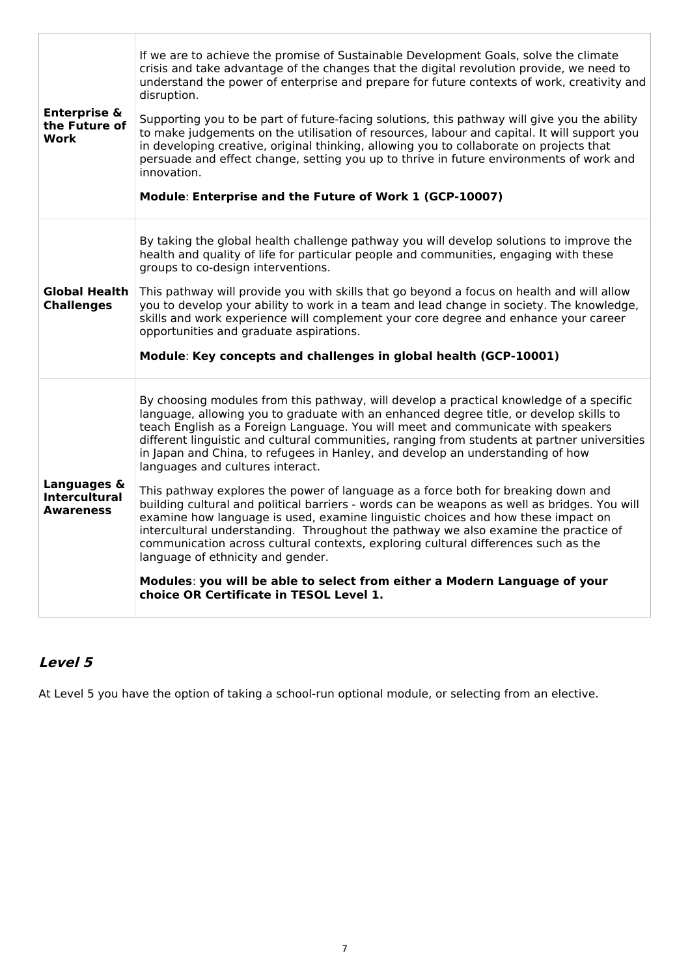| <b>Enterprise &amp;</b><br>the Future of<br><b>Work</b> | If we are to achieve the promise of Sustainable Development Goals, solve the climate<br>crisis and take advantage of the changes that the digital revolution provide, we need to<br>understand the power of enterprise and prepare for future contexts of work, creativity and<br>disruption.<br>Supporting you to be part of future-facing solutions, this pathway will give you the ability<br>to make judgements on the utilisation of resources, labour and capital. It will support you<br>in developing creative, original thinking, allowing you to collaborate on projects that<br>persuade and effect change, setting you up to thrive in future environments of work and<br>innovation.<br>Module: Enterprise and the Future of Work 1 (GCP-10007)                                                                                                                                                                                                                                                                                                                                                   |
|---------------------------------------------------------|----------------------------------------------------------------------------------------------------------------------------------------------------------------------------------------------------------------------------------------------------------------------------------------------------------------------------------------------------------------------------------------------------------------------------------------------------------------------------------------------------------------------------------------------------------------------------------------------------------------------------------------------------------------------------------------------------------------------------------------------------------------------------------------------------------------------------------------------------------------------------------------------------------------------------------------------------------------------------------------------------------------------------------------------------------------------------------------------------------------|
| <b>Global Health</b><br><b>Challenges</b>               | By taking the global health challenge pathway you will develop solutions to improve the<br>health and quality of life for particular people and communities, engaging with these<br>groups to co-design interventions.<br>This pathway will provide you with skills that go beyond a focus on health and will allow<br>you to develop your ability to work in a team and lead change in society. The knowledge,<br>skills and work experience will complement your core degree and enhance your career<br>opportunities and graduate aspirations.<br>Module: Key concepts and challenges in global health (GCP-10001)                                                                                                                                                                                                                                                                                                                                                                                                                                                                                          |
| Languages &<br><b>Intercultural</b><br><b>Awareness</b> | By choosing modules from this pathway, will develop a practical knowledge of a specific<br>language, allowing you to graduate with an enhanced degree title, or develop skills to<br>teach English as a Foreign Language. You will meet and communicate with speakers<br>different linguistic and cultural communities, ranging from students at partner universities<br>in Japan and China, to refugees in Hanley, and develop an understanding of how<br>languages and cultures interact.<br>This pathway explores the power of language as a force both for breaking down and<br>building cultural and political barriers - words can be weapons as well as bridges. You will<br>examine how language is used, examine linguistic choices and how these impact on<br>intercultural understanding. Throughout the pathway we also examine the practice of<br>communication across cultural contexts, exploring cultural differences such as the<br>language of ethnicity and gender.<br>Modules: you will be able to select from either a Modern Language of your<br>choice OR Certificate in TESOL Level 1. |

# **Level 5**

At Level 5 you have the option of taking a school-run optional module, or selecting from an elective.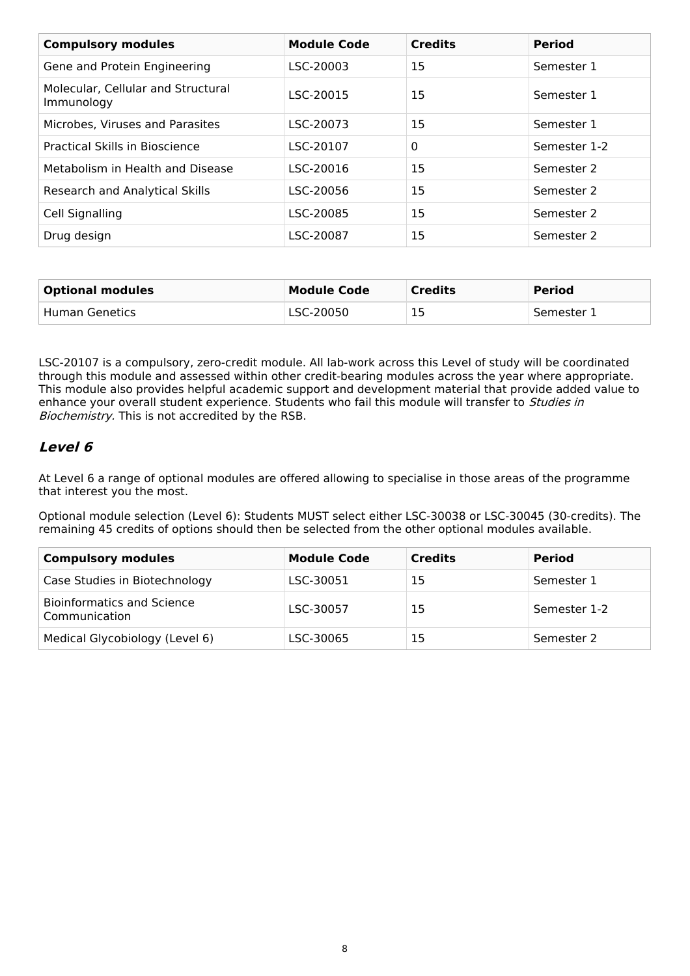| <b>Compulsory modules</b>                        | <b>Module Code</b> | <b>Credits</b> | <b>Period</b> |
|--------------------------------------------------|--------------------|----------------|---------------|
| Gene and Protein Engineering                     | LSC-20003          | 15             | Semester 1    |
| Molecular, Cellular and Structural<br>Immunology | LSC-20015          | 15             | Semester 1    |
| Microbes, Viruses and Parasites                  | LSC-20073          | 15             | Semester 1    |
| <b>Practical Skills in Bioscience</b>            | LSC-20107          | $\mathbf 0$    | Semester 1-2  |
| Metabolism in Health and Disease                 | LSC-20016          | 15             | Semester 2    |
| Research and Analytical Skills                   | LSC-20056          | 15             | Semester 2    |
| Cell Signalling                                  | LSC-20085          | 15             | Semester 2    |
| Drug design                                      | LSC-20087          | 15             | Semester 2    |

| <b>Optional modules</b> | <b>Module Code</b> | <b>Credits</b> | <b>Period</b> |
|-------------------------|--------------------|----------------|---------------|
| Human Genetics          | LSC-20050          | 15             | Semester 1    |

LSC-20107 is a compulsory, zero-credit module. All lab-work across this Level of study will be coordinated through this module and assessed within other credit-bearing modules across the year where appropriate. This module also provides helpful academic support and development material that provide added value to enhance your overall student experience. Students who fail this module will transfer to Studies in Biochemistry. This is not accredited by the RSB.

### **Level 6**

At Level 6 a range of optional modules are offered allowing to specialise in those areas of the programme that interest you the most.

Optional module selection (Level 6): Students MUST select either LSC-30038 or LSC-30045 (30-credits). The remaining 45 credits of options should then be selected from the other optional modules available.

| <b>Compulsory modules</b>                          | <b>Module Code</b> | <b>Credits</b> | <b>Period</b> |
|----------------------------------------------------|--------------------|----------------|---------------|
| Case Studies in Biotechnology                      | LSC-30051          | 15             | Semester 1    |
| <b>Bioinformatics and Science</b><br>Communication | LSC-30057          | 15             | Semester 1-2  |
| Medical Glycobiology (Level 6)                     | LSC-30065          | 15             | Semester 2    |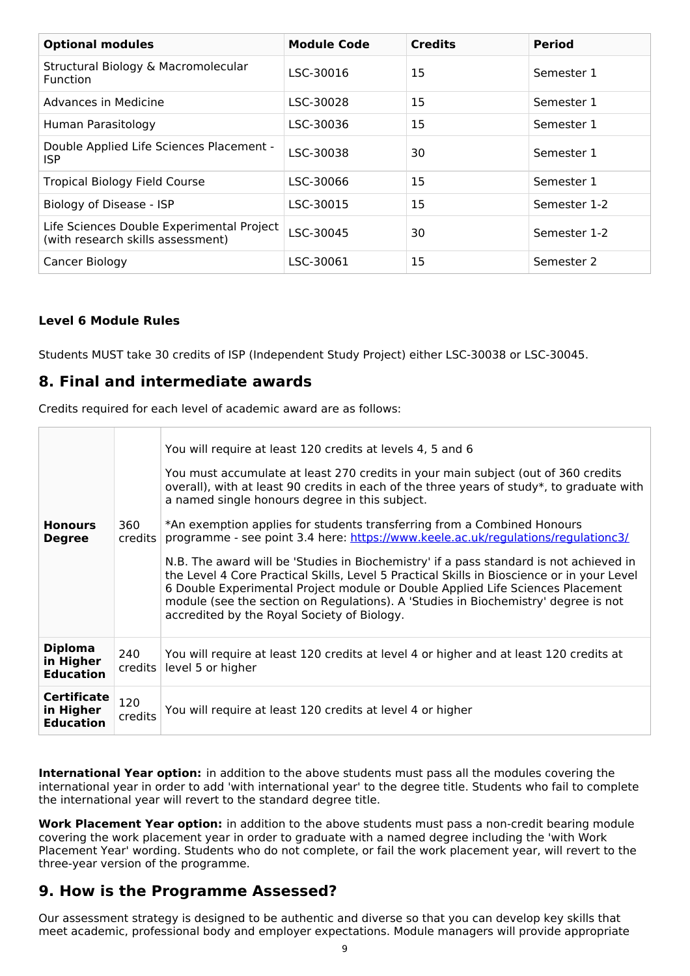| <b>Optional modules</b>                                                        | <b>Module Code</b> | <b>Credits</b> | <b>Period</b> |
|--------------------------------------------------------------------------------|--------------------|----------------|---------------|
| Structural Biology & Macromolecular<br><b>Function</b>                         | LSC-30016          | 15             | Semester 1    |
| Advances in Medicine                                                           | LSC-30028          | 15             | Semester 1    |
| Human Parasitology                                                             | LSC-30036          | 15             | Semester 1    |
| Double Applied Life Sciences Placement -<br>ISP                                | LSC-30038          | 30             | Semester 1    |
| <b>Tropical Biology Field Course</b>                                           | LSC-30066          | 15             | Semester 1    |
| Biology of Disease - ISP                                                       | LSC-30015          | 15             | Semester 1-2  |
| Life Sciences Double Experimental Project<br>(with research skills assessment) | LSC-30045          | 30             | Semester 1-2  |
| Cancer Biology                                                                 | LSC-30061          | 15             | Semester 2    |

### **Level 6 Module Rules**

Students MUST take 30 credits of ISP (Independent Study Project) either LSC-30038 or LSC-30045.

### **8. Final and intermediate awards**

Credits required for each level of academic award are as follows:

| <b>Honours</b><br><b>Degree</b>                     | 360<br>credits | You will require at least 120 credits at levels 4, 5 and 6<br>You must accumulate at least 270 credits in your main subject (out of 360 credits<br>overall), with at least 90 credits in each of the three years of study*, to graduate with<br>a named single honours degree in this subject.<br>*An exemption applies for students transferring from a Combined Honours<br>programme - see point 3.4 here: https://www.keele.ac.uk/regulations/regulationc3/<br>N.B. The award will be 'Studies in Biochemistry' if a pass standard is not achieved in<br>the Level 4 Core Practical Skills, Level 5 Practical Skills in Bioscience or in your Level<br>6 Double Experimental Project module or Double Applied Life Sciences Placement<br>module (see the section on Regulations). A 'Studies in Biochemistry' degree is not<br>accredited by the Royal Society of Biology. |
|-----------------------------------------------------|----------------|-------------------------------------------------------------------------------------------------------------------------------------------------------------------------------------------------------------------------------------------------------------------------------------------------------------------------------------------------------------------------------------------------------------------------------------------------------------------------------------------------------------------------------------------------------------------------------------------------------------------------------------------------------------------------------------------------------------------------------------------------------------------------------------------------------------------------------------------------------------------------------|
| <b>Diploma</b><br>in Higher<br><b>Education</b>     | 240<br>credits | You will require at least 120 credits at level 4 or higher and at least 120 credits at<br>level 5 or higher                                                                                                                                                                                                                                                                                                                                                                                                                                                                                                                                                                                                                                                                                                                                                                   |
| <b>Certificate</b><br>in Higher<br><b>Education</b> | 120<br>credits | You will require at least 120 credits at level 4 or higher                                                                                                                                                                                                                                                                                                                                                                                                                                                                                                                                                                                                                                                                                                                                                                                                                    |

**International Year option:** in addition to the above students must pass all the modules covering the international year in order to add 'with international year' to the degree title. Students who fail to complete the international year will revert to the standard degree title.

**Work Placement Year option:** in addition to the above students must pass a non-credit bearing module covering the work placement year in order to graduate with a named degree including the 'with Work Placement Year' wording. Students who do not complete, or fail the work placement year, will revert to the three-year version of the programme.

### **9. How is the Programme Assessed?**

Our assessment strategy is designed to be authentic and diverse so that you can develop key skills that meet academic, professional body and employer expectations. Module managers will provide appropriate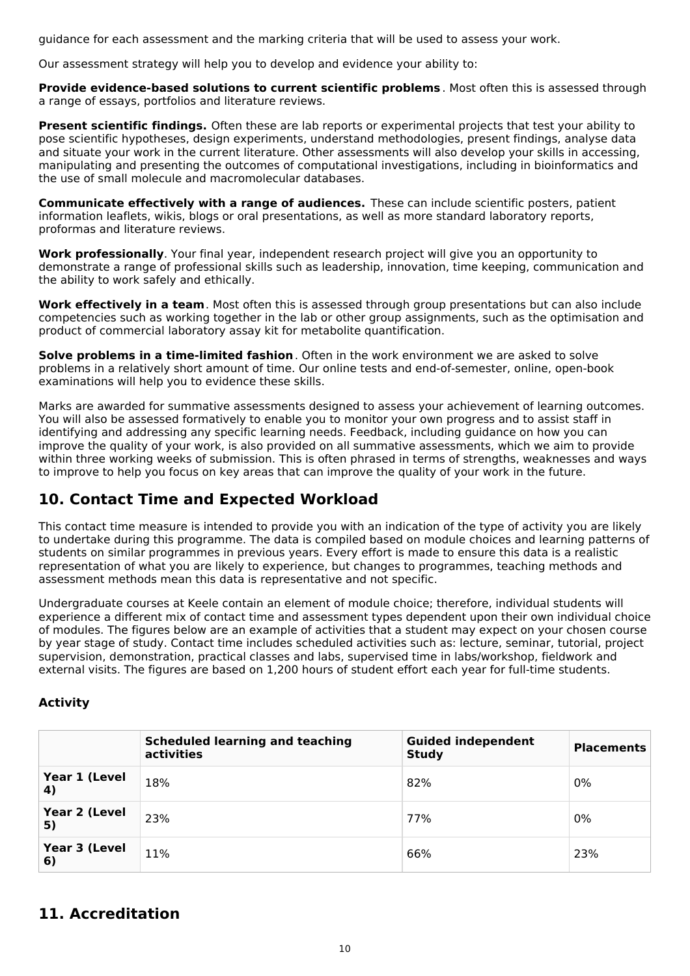guidance for each assessment and the marking criteria that will be used to assess your work.

Our assessment strategy will help you to develop and evidence your ability to:

**Provide evidence-based solutions to current scientific problems** . Most often this is assessed through a range of essays, portfolios and literature reviews.

**Present scientific findings.** Often these are lab reports or experimental projects that test your ability to pose scientific hypotheses, design experiments, understand methodologies, present findings, analyse data and situate your work in the current literature. Other assessments will also develop your skills in accessing, manipulating and presenting the outcomes of computational investigations, including in bioinformatics and the use of small molecule and macromolecular databases.

**Communicate effectively with a range of audiences.** These can include scientific posters, patient information leaflets, wikis, blogs or oral presentations, as well as more standard laboratory reports, proformas and literature reviews.

**Work professionally**. Your final year, independent research project will give you an opportunity to demonstrate a range of professional skills such as leadership, innovation, time keeping, communication and the ability to work safely and ethically.

**Work effectively in a team**. Most often this is assessed through group presentations but can also include competencies such as working together in the lab or other group assignments, such as the optimisation and product of commercial laboratory assay kit for metabolite quantification.

**Solve problems in a time-limited fashion**. Often in the work environment we are asked to solve problems in a relatively short amount of time. Our online tests and end-of-semester, online, open-book examinations will help you to evidence these skills.

Marks are awarded for summative assessments designed to assess your achievement of learning outcomes. You will also be assessed formatively to enable you to monitor your own progress and to assist staff in identifying and addressing any specific learning needs. Feedback, including guidance on how you can improve the quality of your work, is also provided on all summative assessments, which we aim to provide within three working weeks of submission. This is often phrased in terms of strengths, weaknesses and ways to improve to help you focus on key areas that can improve the quality of your work in the future.

# **10. Contact Time and Expected Workload**

This contact time measure is intended to provide you with an indication of the type of activity you are likely to undertake during this programme. The data is compiled based on module choices and learning patterns of students on similar programmes in previous years. Every effort is made to ensure this data is a realistic representation of what you are likely to experience, but changes to programmes, teaching methods and assessment methods mean this data is representative and not specific.

Undergraduate courses at Keele contain an element of module choice; therefore, individual students will experience a different mix of contact time and assessment types dependent upon their own individual choice of modules. The figures below are an example of activities that a student may expect on your chosen course by year stage of study. Contact time includes scheduled activities such as: lecture, seminar, tutorial, project supervision, demonstration, practical classes and labs, supervised time in labs/workshop, fieldwork and external visits. The figures are based on 1,200 hours of student effort each year for full-time students.

#### **Activity**

|                     | <b>Scheduled learning and teaching</b><br>activities | <b>Guided independent</b><br><b>Study</b> | <b>Placements</b> |
|---------------------|------------------------------------------------------|-------------------------------------------|-------------------|
| Year 1 (Level<br>4) | 18%                                                  | 82%                                       | 0%                |
| Year 2 (Level<br>5) | 23%                                                  | 77%                                       | 0%                |
| Year 3 (Level<br>6) | 11%                                                  | 66%                                       | 23%               |

# **11. Accreditation**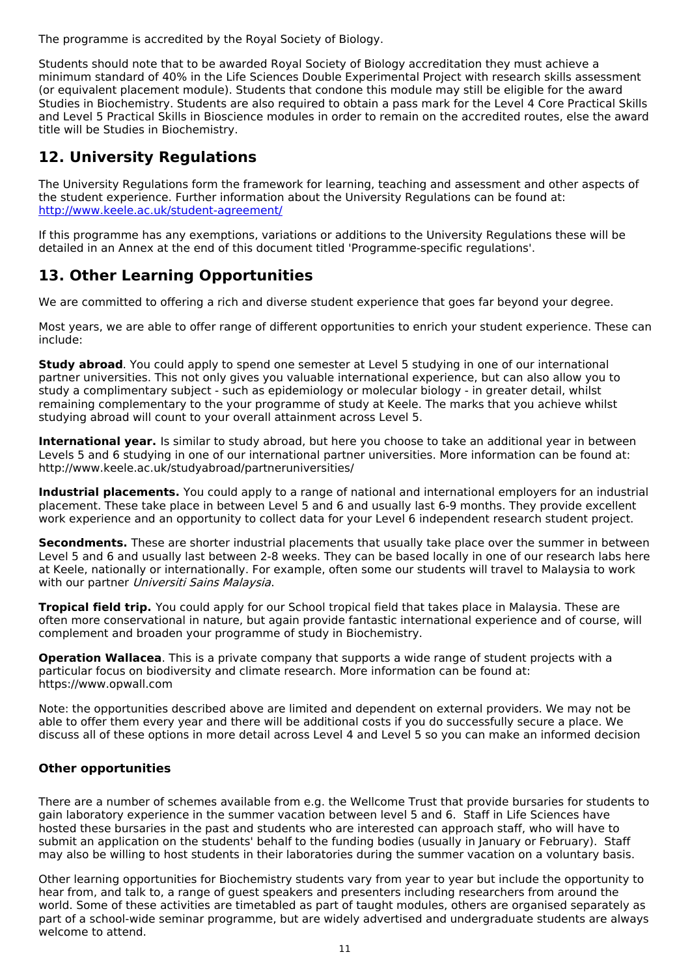The programme is accredited by the Royal Society of Biology.

Students should note that to be awarded Royal Society of Biology accreditation they must achieve a minimum standard of 40% in the Life Sciences Double Experimental Project with research skills assessment (or equivalent placement module). Students that condone this module may still be eligible for the award Studies in Biochemistry. Students are also required to obtain a pass mark for the Level 4 Core Practical Skills and Level 5 Practical Skills in Bioscience modules in order to remain on the accredited routes, else the award title will be Studies in Biochemistry.

# **12. University Regulations**

The University Regulations form the framework for learning, teaching and assessment and other aspects of the student experience. Further information about the University Regulations can be found at: <http://www.keele.ac.uk/student-agreement/>

If this programme has any exemptions, variations or additions to the University Regulations these will be detailed in an Annex at the end of this document titled 'Programme-specific regulations'.

# **13. Other Learning Opportunities**

We are committed to offering a rich and diverse student experience that goes far beyond your degree.

Most years, we are able to offer range of different opportunities to enrich your student experience. These can include:

**Study abroad**. You could apply to spend one semester at Level 5 studying in one of our international partner universities. This not only gives you valuable international experience, but can also allow you to study a complimentary subject - such as epidemiology or molecular biology - in greater detail, whilst remaining complementary to the your programme of study at Keele. The marks that you achieve whilst studying abroad will count to your overall attainment across Level 5.

**International year.** Is similar to study abroad, but here you choose to take an additional year in between Levels 5 and 6 studying in one of our international partner universities. More information can be found at: http://www.keele.ac.uk/studyabroad/partneruniversities/

**Industrial placements.** You could apply to a range of national and international employers for an industrial placement. These take place in between Level 5 and 6 and usually last 6-9 months. They provide excellent work experience and an opportunity to collect data for your Level 6 independent research student project.

**Secondments.** These are shorter industrial placements that usually take place over the summer in between Level 5 and 6 and usually last between 2-8 weeks. They can be based locally in one of our research labs here at Keele, nationally or internationally. For example, often some our students will travel to Malaysia to work with our partner Universiti Sains Malaysia.

**Tropical field trip.** You could apply for our School tropical field that takes place in Malaysia. These are often more conservational in nature, but again provide fantastic international experience and of course, will complement and broaden your programme of study in Biochemistry.

**Operation Wallacea**. This is a private company that supports a wide range of student projects with a particular focus on biodiversity and climate research. More information can be found at: https://www.opwall.com

Note: the opportunities described above are limited and dependent on external providers. We may not be able to offer them every year and there will be additional costs if you do successfully secure a place. We discuss all of these options in more detail across Level 4 and Level 5 so you can make an informed decision

### **Other opportunities**

There are a number of schemes available from e.g. the Wellcome Trust that provide bursaries for students to gain laboratory experience in the summer vacation between level 5 and 6. Staff in Life Sciences have hosted these bursaries in the past and students who are interested can approach staff, who will have to submit an application on the students' behalf to the funding bodies (usually in January or February). Staff may also be willing to host students in their laboratories during the summer vacation on a voluntary basis.

Other learning opportunities for Biochemistry students vary from year to year but include the opportunity to hear from, and talk to, a range of guest speakers and presenters including researchers from around the world. Some of these activities are timetabled as part of taught modules, others are organised separately as part of a school-wide seminar programme, but are widely advertised and undergraduate students are always welcome to attend.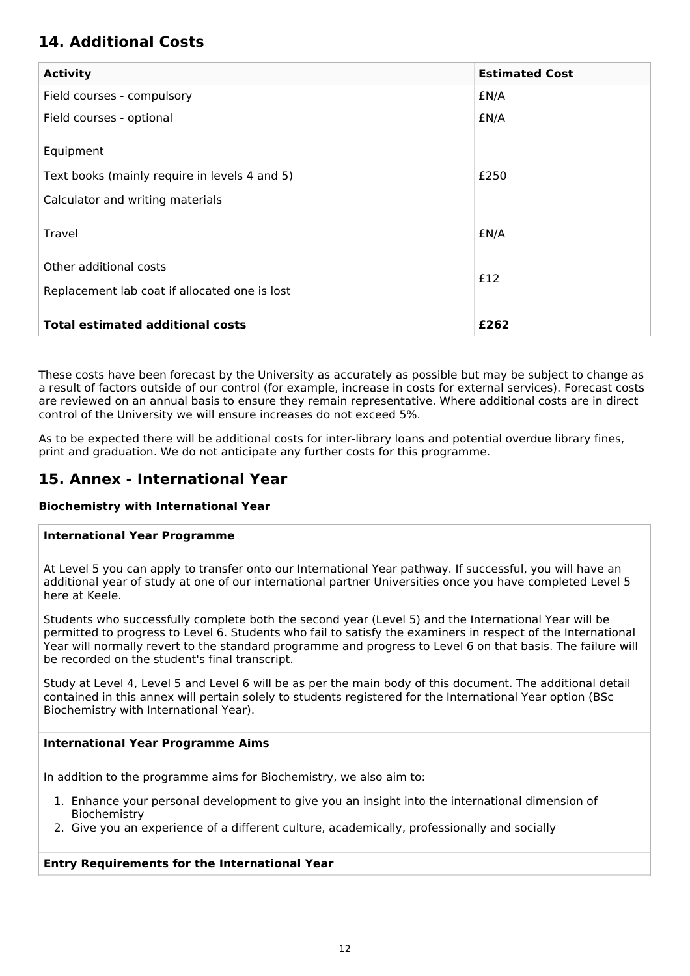# **14. Additional Costs**

| <b>Activity</b>                                                                                | <b>Estimated Cost</b> |
|------------------------------------------------------------------------------------------------|-----------------------|
| Field courses - compulsory                                                                     | £N/A                  |
| Field courses - optional                                                                       | £N/A                  |
| Equipment<br>Text books (mainly require in levels 4 and 5)<br>Calculator and writing materials | £250                  |
| Travel                                                                                         | £N/A                  |
| Other additional costs<br>Replacement lab coat if allocated one is lost                        | £12                   |
| <b>Total estimated additional costs</b>                                                        | £262                  |

These costs have been forecast by the University as accurately as possible but may be subject to change as a result of factors outside of our control (for example, increase in costs for external services). Forecast costs are reviewed on an annual basis to ensure they remain representative. Where additional costs are in direct control of the University we will ensure increases do not exceed 5%.

As to be expected there will be additional costs for inter-library loans and potential overdue library fines, print and graduation. We do not anticipate any further costs for this programme.

# **15. Annex - International Year**

#### **Biochemistry with International Year**

#### **International Year Programme**

At Level 5 you can apply to transfer onto our International Year pathway. If successful, you will have an additional year of study at one of our international partner Universities once you have completed Level 5 here at Keele.

Students who successfully complete both the second year (Level 5) and the International Year will be permitted to progress to Level 6. Students who fail to satisfy the examiners in respect of the International Year will normally revert to the standard programme and progress to Level 6 on that basis. The failure will be recorded on the student's final transcript.

Study at Level 4, Level 5 and Level 6 will be as per the main body of this document. The additional detail contained in this annex will pertain solely to students registered for the International Year option (BSc Biochemistry with International Year).

#### **International Year Programme Aims**

In addition to the programme aims for Biochemistry, we also aim to:

- 1. Enhance your personal development to give you an insight into the international dimension of Biochemistry
- 2. Give you an experience of a different culture, academically, professionally and socially

### **Entry Requirements for the International Year**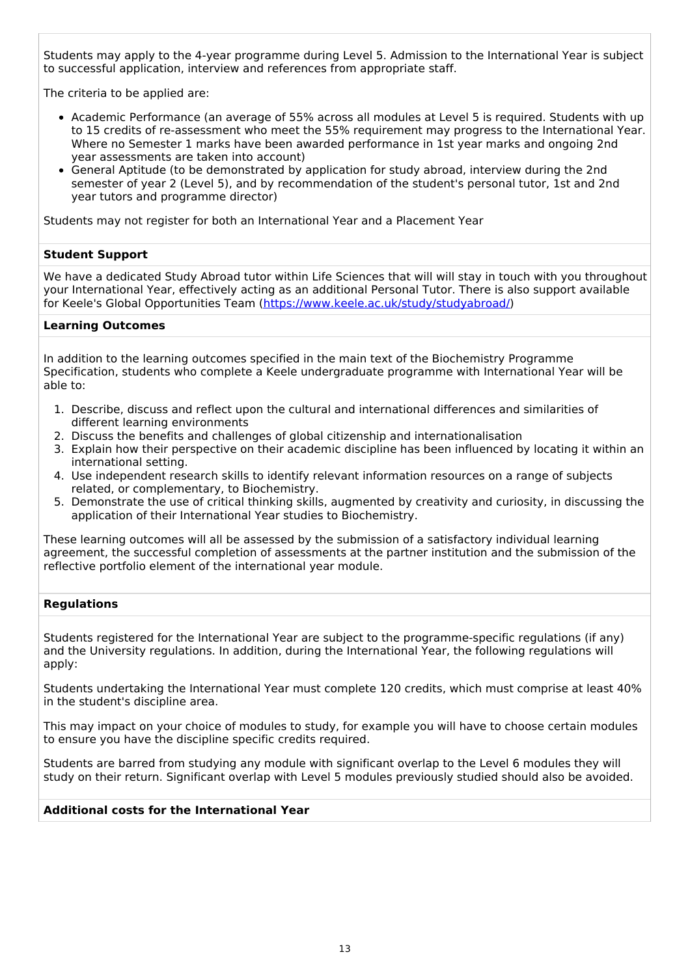Students may apply to the 4-year programme during Level 5. Admission to the International Year is subject to successful application, interview and references from appropriate staff.

The criteria to be applied are:

- Academic Performance (an average of 55% across all modules at Level 5 is required. Students with up to 15 credits of re-assessment who meet the 55% requirement may progress to the International Year. Where no Semester 1 marks have been awarded performance in 1st year marks and ongoing 2nd year assessments are taken into account)
- General Aptitude (to be demonstrated by application for study abroad, interview during the 2nd semester of year 2 (Level 5), and by recommendation of the student's personal tutor, 1st and 2nd year tutors and programme director)

Students may not register for both an International Year and a Placement Year

#### **Student Support**

We have a dedicated Study Abroad tutor within Life Sciences that will will stay in touch with you throughout your International Year, effectively acting as an additional Personal Tutor. There is also support available for Keele's Global Opportunities Team [\(https://www.keele.ac.uk/study/studyabroad/](https://www.keele.ac.uk/study/studyabroad/))

#### **Learning Outcomes**

In addition to the learning outcomes specified in the main text of the Biochemistry Programme Specification, students who complete a Keele undergraduate programme with International Year will be able to:

- 1. Describe, discuss and reflect upon the cultural and international differences and similarities of different learning environments
- 2. Discuss the benefits and challenges of global citizenship and internationalisation
- 3. Explain how their perspective on their academic discipline has been influenced by locating it within an international setting.
- 4. Use independent research skills to identify relevant information resources on a range of subjects related, or complementary, to Biochemistry.
- 5. Demonstrate the use of critical thinking skills, augmented by creativity and curiosity, in discussing the application of their International Year studies to Biochemistry.

These learning outcomes will all be assessed by the submission of a satisfactory individual learning agreement, the successful completion of assessments at the partner institution and the submission of the reflective portfolio element of the international year module.

#### **Regulations**

Students registered for the International Year are subject to the programme-specific regulations (if any) and the University regulations. In addition, during the International Year, the following regulations will apply:

Students undertaking the International Year must complete 120 credits, which must comprise at least 40% in the student's discipline area.

This may impact on your choice of modules to study, for example you will have to choose certain modules to ensure you have the discipline specific credits required.

Students are barred from studying any module with significant overlap to the Level 6 modules they will study on their return. Significant overlap with Level 5 modules previously studied should also be avoided.

#### **Additional costs for the International Year**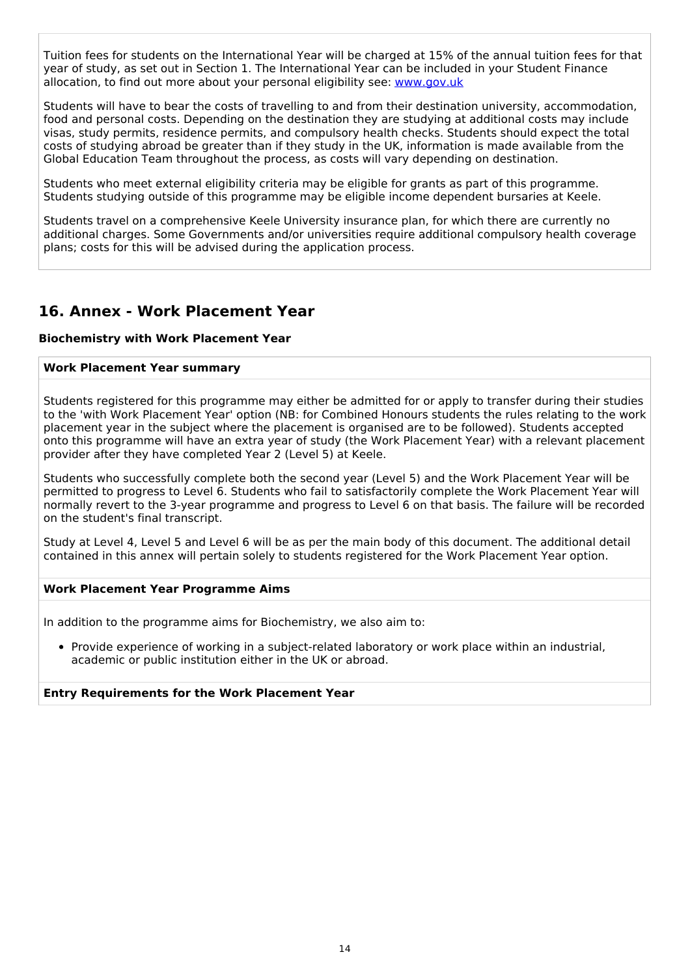Tuition fees for students on the International Year will be charged at 15% of the annual tuition fees for that year of study, as set out in Section 1. The International Year can be included in your Student Finance allocation, to find out more about your personal eligibility see: [www.gov.uk](http://www.gov.uk/)

Students will have to bear the costs of travelling to and from their destination university, accommodation, food and personal costs. Depending on the destination they are studying at additional costs may include visas, study permits, residence permits, and compulsory health checks. Students should expect the total costs of studying abroad be greater than if they study in the UK, information is made available from the Global Education Team throughout the process, as costs will vary depending on destination.

Students who meet external eligibility criteria may be eligible for grants as part of this programme. Students studying outside of this programme may be eligible income dependent bursaries at Keele.

Students travel on a comprehensive Keele University insurance plan, for which there are currently no additional charges. Some Governments and/or universities require additional compulsory health coverage plans; costs for this will be advised during the application process.

# **16. Annex - Work Placement Year**

#### **Biochemistry with Work Placement Year**

#### **Work Placement Year summary**

Students registered for this programme may either be admitted for or apply to transfer during their studies to the 'with Work Placement Year' option (NB: for Combined Honours students the rules relating to the work placement year in the subject where the placement is organised are to be followed). Students accepted onto this programme will have an extra year of study (the Work Placement Year) with a relevant placement provider after they have completed Year 2 (Level 5) at Keele.

Students who successfully complete both the second year (Level 5) and the Work Placement Year will be permitted to progress to Level 6. Students who fail to satisfactorily complete the Work Placement Year will normally revert to the 3-year programme and progress to Level 6 on that basis. The failure will be recorded on the student's final transcript.

Study at Level 4, Level 5 and Level 6 will be as per the main body of this document. The additional detail contained in this annex will pertain solely to students registered for the Work Placement Year option.

#### **Work Placement Year Programme Aims**

In addition to the programme aims for Biochemistry, we also aim to:

Provide experience of working in a subject-related laboratory or work place within an industrial, academic or public institution either in the UK or abroad.

#### **Entry Requirements for the Work Placement Year**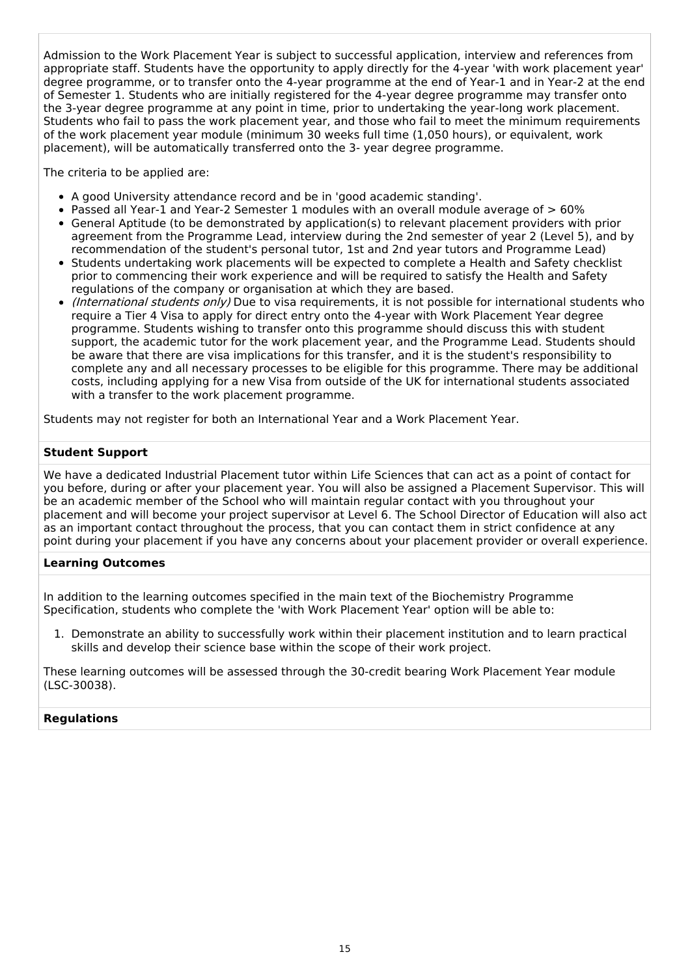Admission to the Work Placement Year is subject to successful application, interview and references from appropriate staff. Students have the opportunity to apply directly for the 4-year 'with work placement year' degree programme, or to transfer onto the 4-year programme at the end of Year-1 and in Year-2 at the end of Semester 1. Students who are initially registered for the 4-year degree programme may transfer onto the 3-year degree programme at any point in time, prior to undertaking the year-long work placement. Students who fail to pass the work placement year, and those who fail to meet the minimum requirements of the work placement year module (minimum 30 weeks full time (1,050 hours), or equivalent, work placement), will be automatically transferred onto the 3- year degree programme.

The criteria to be applied are:

- A good University attendance record and be in 'good academic standing'.
- Passed all Year-1 and Year-2 Semester 1 modules with an overall module average of  $> 60\%$
- General Aptitude (to be demonstrated by application(s) to relevant placement providers with prior agreement from the Programme Lead, interview during the 2nd semester of year 2 (Level 5), and by recommendation of the student's personal tutor, 1st and 2nd year tutors and Programme Lead)
- Students undertaking work placements will be expected to complete a Health and Safety checklist prior to commencing their work experience and will be required to satisfy the Health and Safety regulations of the company or organisation at which they are based.
- (International students only) Due to visa requirements, it is not possible for international students who require a Tier 4 Visa to apply for direct entry onto the 4-year with Work Placement Year degree programme. Students wishing to transfer onto this programme should discuss this with student support, the academic tutor for the work placement year, and the Programme Lead. Students should be aware that there are visa implications for this transfer, and it is the student's responsibility to complete any and all necessary processes to be eligible for this programme. There may be additional costs, including applying for a new Visa from outside of the UK for international students associated with a transfer to the work placement programme.

Students may not register for both an International Year and a Work Placement Year.

#### **Student Support**

We have a dedicated Industrial Placement tutor within Life Sciences that can act as a point of contact for you before, during or after your placement year. You will also be assigned a Placement Supervisor. This will be an academic member of the School who will maintain regular contact with you throughout your placement and will become your project supervisor at Level 6. The School Director of Education will also act as an important contact throughout the process, that you can contact them in strict confidence at any point during your placement if you have any concerns about your placement provider or overall experience.

#### **Learning Outcomes**

In addition to the learning outcomes specified in the main text of the Biochemistry Programme Specification, students who complete the 'with Work Placement Year' option will be able to:

1. Demonstrate an ability to successfully work within their placement institution and to learn practical skills and develop their science base within the scope of their work project.

These learning outcomes will be assessed through the 30-credit bearing Work Placement Year module (LSC-30038).

#### **Regulations**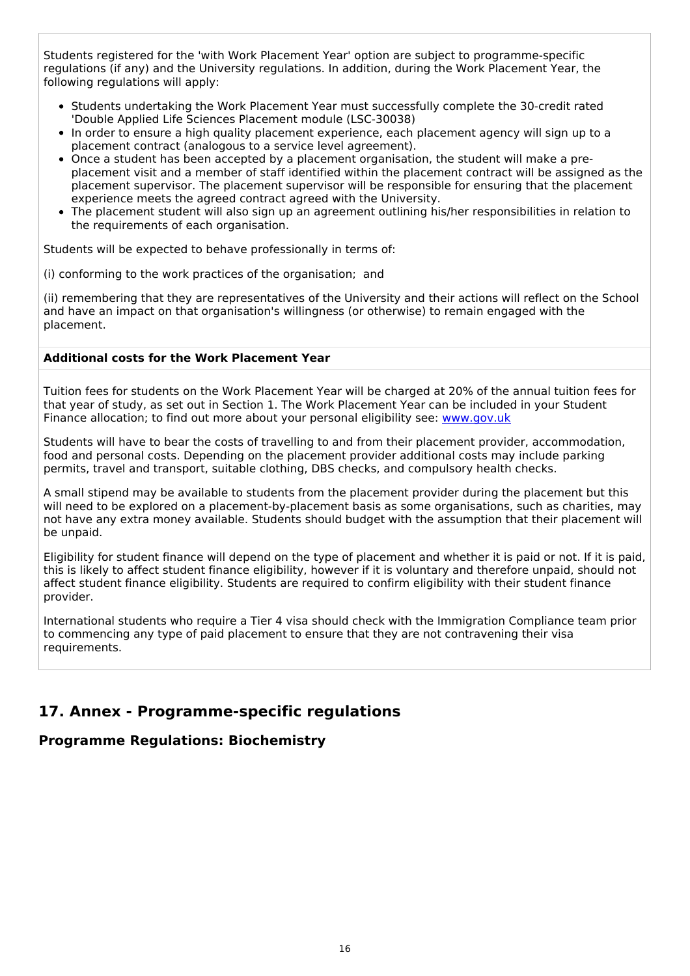Students registered for the 'with Work Placement Year' option are subject to programme-specific regulations (if any) and the University regulations. In addition, during the Work Placement Year, the following regulations will apply:

- Students undertaking the Work Placement Year must successfully complete the 30-credit rated 'Double Applied Life Sciences Placement module (LSC-30038)
- In order to ensure a high quality placement experience, each placement agency will sign up to a placement contract (analogous to a service level agreement).
- Once a student has been accepted by a placement organisation, the student will make a preplacement visit and a member of staff identified within the placement contract will be assigned as the placement supervisor. The placement supervisor will be responsible for ensuring that the placement experience meets the agreed contract agreed with the University.
- The placement student will also sign up an agreement outlining his/her responsibilities in relation to the requirements of each organisation.

Students will be expected to behave professionally in terms of:

(i) conforming to the work practices of the organisation; and

(ii) remembering that they are representatives of the University and their actions will reflect on the School and have an impact on that organisation's willingness (or otherwise) to remain engaged with the placement.

#### **Additional costs for the Work Placement Year**

Tuition fees for students on the Work Placement Year will be charged at 20% of the annual tuition fees for that year of study, as set out in Section 1. The Work Placement Year can be included in your Student Finance allocation; to find out more about your personal eligibility see: [www.gov.uk](http://www.gov.uk/)

Students will have to bear the costs of travelling to and from their placement provider, accommodation, food and personal costs. Depending on the placement provider additional costs may include parking permits, travel and transport, suitable clothing, DBS checks, and compulsory health checks.

A small stipend may be available to students from the placement provider during the placement but this will need to be explored on a placement-by-placement basis as some organisations, such as charities, may not have any extra money available. Students should budget with the assumption that their placement will be unpaid.

Eligibility for student finance will depend on the type of placement and whether it is paid or not. If it is paid, this is likely to affect student finance eligibility, however if it is voluntary and therefore unpaid, should not affect student finance eligibility. Students are required to confirm eligibility with their student finance provider.

International students who require a Tier 4 visa should check with the Immigration Compliance team prior to commencing any type of paid placement to ensure that they are not contravening their visa requirements.

# **17. Annex - Programme-specific regulations**

### **Programme Regulations: Biochemistry**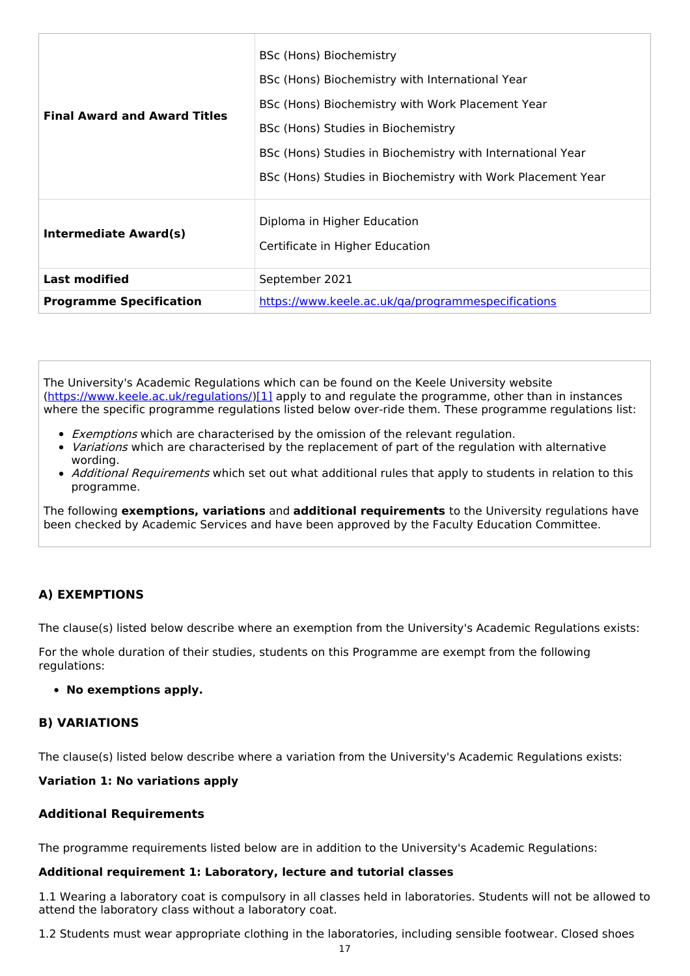| <b>Final Award and Award Titles</b> | BSc (Hons) Biochemistry<br>BSc (Hons) Biochemistry with International Year<br>BSc (Hons) Biochemistry with Work Placement Year<br>BSc (Hons) Studies in Biochemistry<br>BSc (Hons) Studies in Biochemistry with International Year<br>BSc (Hons) Studies in Biochemistry with Work Placement Year |  |
|-------------------------------------|---------------------------------------------------------------------------------------------------------------------------------------------------------------------------------------------------------------------------------------------------------------------------------------------------|--|
| <b>Intermediate Award(s)</b>        | Diploma in Higher Education<br>Certificate in Higher Education                                                                                                                                                                                                                                    |  |
| <b>Last modified</b>                | September 2021                                                                                                                                                                                                                                                                                    |  |
| <b>Programme Specification</b>      | https://www.keele.ac.uk/ga/programmespecifications                                                                                                                                                                                                                                                |  |

The University's Academic Regulations which can be found on the Keele University website [\(https://www.keele.ac.uk/regulations/](https://www.keele.ac.uk/regulations/)[\)\[1\]](https://scims-api.keele.ac.uk/#_ftn1) apply to and regulate the programme, other than in instances where the specific programme regulations listed below over-ride them. These programme regulations list:

- **Exemptions which are characterised by the omission of the relevant regulation.**
- Variations which are characterised by the replacement of part of the regulation with alternative wording.
- Additional Requirements which set out what additional rules that apply to students in relation to this programme.

The following **exemptions, variations** and **additional requirements** to the University regulations have been checked by Academic Services and have been approved by the Faculty Education Committee.

#### **A) EXEMPTIONS**

The clause(s) listed below describe where an exemption from the University's Academic Regulations exists:

For the whole duration of their studies, students on this Programme are exempt from the following regulations:

#### **No exemptions apply.**

#### **B) VARIATIONS**

The clause(s) listed below describe where a variation from the University's Academic Regulations exists:

#### **Variation 1: No variations apply**

#### **Additional Requirements**

The programme requirements listed below are in addition to the University's Academic Regulations:

#### **Additional requirement 1: Laboratory, lecture and tutorial classes**

1.1 Wearing a laboratory coat is compulsory in all classes held in laboratories. Students will not be allowed to attend the laboratory class without a laboratory coat.

1.2 Students must wear appropriate clothing in the laboratories, including sensible footwear. Closed shoes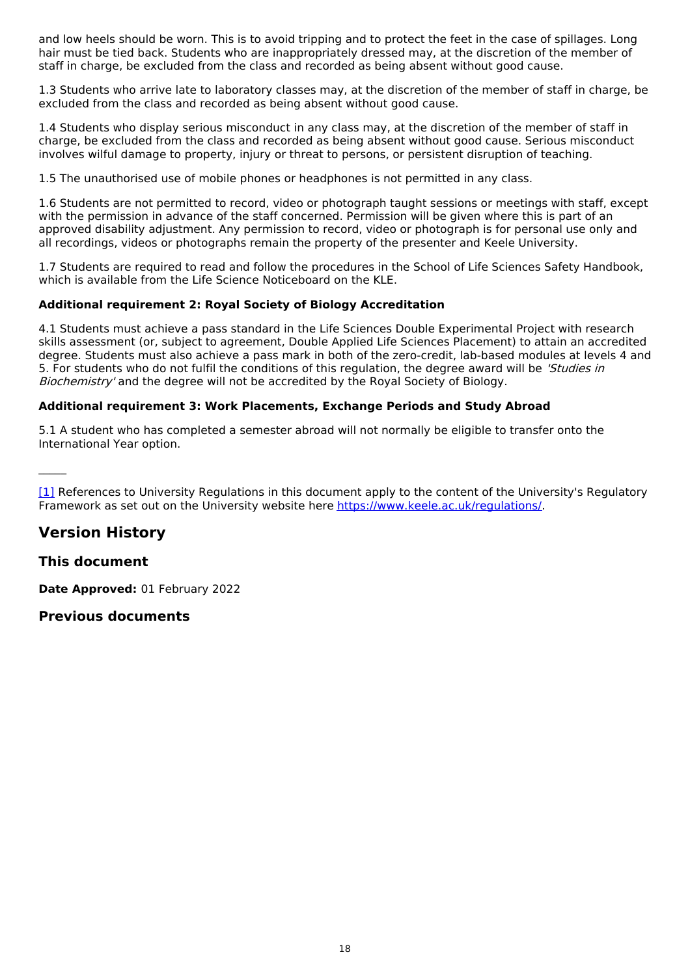and low heels should be worn. This is to avoid tripping and to protect the feet in the case of spillages. Long hair must be tied back. Students who are inappropriately dressed may, at the discretion of the member of staff in charge, be excluded from the class and recorded as being absent without good cause.

1.3 Students who arrive late to laboratory classes may, at the discretion of the member of staff in charge, be excluded from the class and recorded as being absent without good cause.

1.4 Students who display serious misconduct in any class may, at the discretion of the member of staff in charge, be excluded from the class and recorded as being absent without good cause. Serious misconduct involves wilful damage to property, injury or threat to persons, or persistent disruption of teaching.

1.5 The unauthorised use of mobile phones or headphones is not permitted in any class.

1.6 Students are not permitted to record, video or photograph taught sessions or meetings with staff, except with the permission in advance of the staff concerned. Permission will be given where this is part of an approved disability adjustment. Any permission to record, video or photograph is for personal use only and all recordings, videos or photographs remain the property of the presenter and Keele University.

1.7 Students are required to read and follow the procedures in the School of Life Sciences Safety Handbook, which is available from the Life Science Noticeboard on the KLE.

#### **Additional requirement 2: Royal Society of Biology Accreditation**

4.1 Students must achieve a pass standard in the Life Sciences Double Experimental Project with research skills assessment (or, subject to agreement, Double Applied Life Sciences Placement) to attain an accredited degree. Students must also achieve a pass mark in both of the zero-credit, lab-based modules at levels 4 and 5. For students who do not fulfil the conditions of this regulation, the degree award will be 'Studies in Biochemistry' and the degree will not be accredited by the Royal Society of Biology.

#### **Additional requirement 3: Work Placements, Exchange Periods and Study Abroad**

5.1 A student who has completed a semester abroad will not normally be eligible to transfer onto the International Year option.

[\[1\]](https://scims-api.keele.ac.uk/#_ftnref1) References to University Regulations in this document apply to the content of the University's Regulatory Framework as set out on the University website here <https://www.keele.ac.uk/regulations/>.

# **Version History**

### **This document**

 $\mathcal{L}=\mathcal{L}$ 

**Date Approved:** 01 February 2022

### **Previous documents**